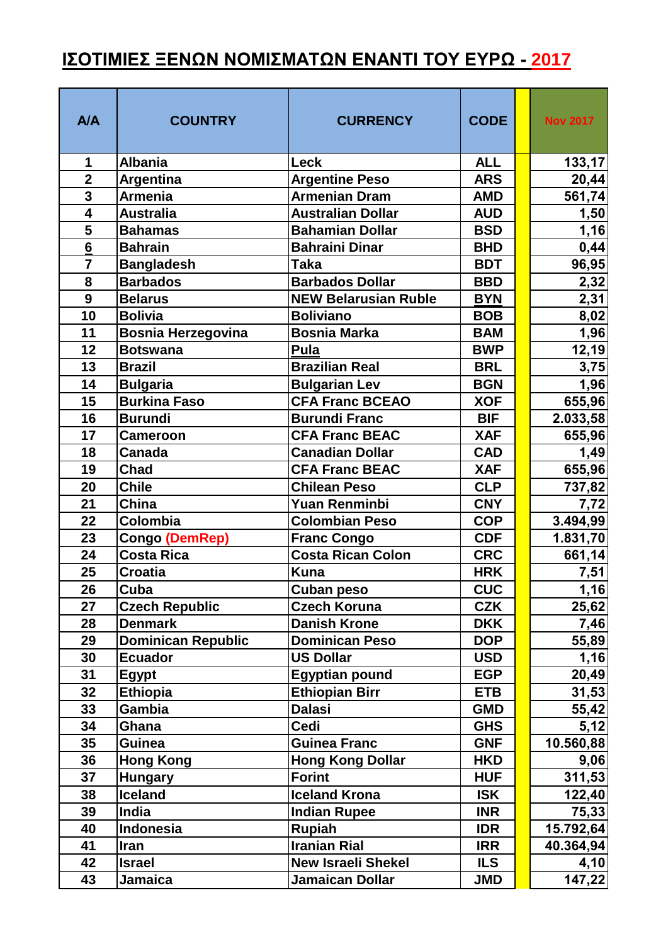## <u>ΙΣΟΤΙΜΙΕΣ ΞΕΝΩΝ ΝΟΜΙΣΜΑΤΩΝ ΕΝΑΝΤΙ ΤΟΥ ΕΥΡΩ - 2017</u>

| <b>A/A</b>              | <b>COUNTRY</b>            | <b>CURRENCY</b>             | <b>CODE</b> | <b>Nov 2017</b> |
|-------------------------|---------------------------|-----------------------------|-------------|-----------------|
| 1                       | <b>Albania</b>            | Leck                        | <b>ALL</b>  | 133, 17         |
| $\overline{2}$          | <b>Argentina</b>          | <b>Argentine Peso</b>       | <b>ARS</b>  | 20,44           |
| 3                       | <b>Armenia</b>            | <b>Armenian Dram</b>        | <b>AMD</b>  | 561,74          |
| $\overline{\mathbf{4}}$ | <b>Australia</b>          | <b>Australian Dollar</b>    | <b>AUD</b>  | 1,50            |
| 5                       | <b>Bahamas</b>            | <b>Bahamian Dollar</b>      | <b>BSD</b>  | 1,16            |
| $6\overline{6}$         | <b>Bahrain</b>            | <b>Bahraini Dinar</b>       | <b>BHD</b>  | 0,44            |
| $\overline{7}$          | <b>Bangladesh</b>         | <b>Taka</b>                 | <b>BDT</b>  | 96,95           |
| 8                       | <b>Barbados</b>           | <b>Barbados Dollar</b>      | <b>BBD</b>  | 2,32            |
| 9                       | <b>Belarus</b>            | <b>NEW Belarusian Ruble</b> | <b>BYN</b>  | 2,31            |
| 10                      | <b>Bolivia</b>            | <b>Boliviano</b>            | <b>BOB</b>  | 8,02            |
| 11                      | <b>Bosnia Herzegovina</b> | <b>Bosnia Marka</b>         | <b>BAM</b>  | 1,96            |
| 12                      | <b>Botswana</b>           | Pula                        | <b>BWP</b>  | 12,19           |
| 13                      | <b>Brazil</b>             | <b>Brazilian Real</b>       | <b>BRL</b>  | 3,75            |
| 14                      | <b>Bulgaria</b>           | <b>Bulgarian Lev</b>        | <b>BGN</b>  | 1,96            |
| 15                      | <b>Burkina Faso</b>       | <b>CFA Franc BCEAO</b>      | <b>XOF</b>  | 655,96          |
| 16                      | <b>Burundi</b>            | <b>Burundi Franc</b>        | <b>BIF</b>  | 2.033,58        |
| 17                      | <b>Cameroon</b>           | <b>CFA Franc BEAC</b>       | <b>XAF</b>  | 655,96          |
| 18                      | <b>Canada</b>             | <b>Canadian Dollar</b>      | <b>CAD</b>  | 1,49            |
| 19                      | Chad                      | <b>CFA Franc BEAC</b>       | <b>XAF</b>  | 655,96          |
| 20                      | <b>Chile</b>              | <b>Chilean Peso</b>         | <b>CLP</b>  | 737,82          |
| 21                      | China                     | <b>Yuan Renminbi</b>        | <b>CNY</b>  | 7,72            |
| 22                      | Colombia                  | <b>Colombian Peso</b>       | <b>COP</b>  | 3.494,99        |
| 23                      | <b>Congo (DemRep)</b>     | <b>Franc Congo</b>          | <b>CDF</b>  | 1.831,70        |
| 24                      | <b>Costa Rica</b>         | <b>Costa Rican Colon</b>    | <b>CRC</b>  | 661,14          |
| 25                      | <b>Croatia</b>            | <b>Kuna</b>                 | <b>HRK</b>  | 7,51            |
| 26                      | Cuba                      | Cuban peso                  | <b>CUC</b>  | 1,16            |
| 27                      | <b>Czech Republic</b>     | <b>Czech Koruna</b>         | <b>CZK</b>  | 25,62           |
| 28                      | <b>Denmark</b>            | <b>Danish Krone</b>         | <b>DKK</b>  | 7,46            |
| 29                      | <b>Dominican Republic</b> | <b>Dominican Peso</b>       | <b>DOP</b>  | 55,89           |
| 30                      | <b>Ecuador</b>            | <b>US Dollar</b>            | <b>USD</b>  | 1,16            |
| 31                      | <b>Egypt</b>              | <b>Egyptian pound</b>       | <b>EGP</b>  | 20,49           |
| 32                      | <b>Ethiopia</b>           | <b>Ethiopian Birr</b>       | <b>ETB</b>  | 31,53           |
| 33                      | Gambia                    | <b>Dalasi</b>               | <b>GMD</b>  | 55,42           |
| 34                      | Ghana                     | <b>Cedi</b>                 | <b>GHS</b>  | 5,12            |
| 35                      | <b>Guinea</b>             | <b>Guinea Franc</b>         | <b>GNF</b>  | 10.560,88       |
| 36                      | <b>Hong Kong</b>          | <b>Hong Kong Dollar</b>     | <b>HKD</b>  | 9,06            |
| 37                      | <b>Hungary</b>            | <b>Forint</b>               | <b>HUF</b>  | 311,53          |
| 38                      | Iceland                   | <b>Iceland Krona</b>        | <b>ISK</b>  | 122,40          |
| 39                      | India                     | <b>Indian Rupee</b>         | <b>INR</b>  | 75,33           |
| 40                      | Indonesia                 | Rupiah                      | <b>IDR</b>  | 15.792,64       |
| 41                      | <b>Iran</b>               | <b>Iranian Rial</b>         | <b>IRR</b>  | 40.364,94       |
| 42                      | <b>Israel</b>             | <b>New Israeli Shekel</b>   | <b>ILS</b>  | 4,10            |
| 43                      | Jamaica                   | Jamaican Dollar             | <b>JMD</b>  | 147,22          |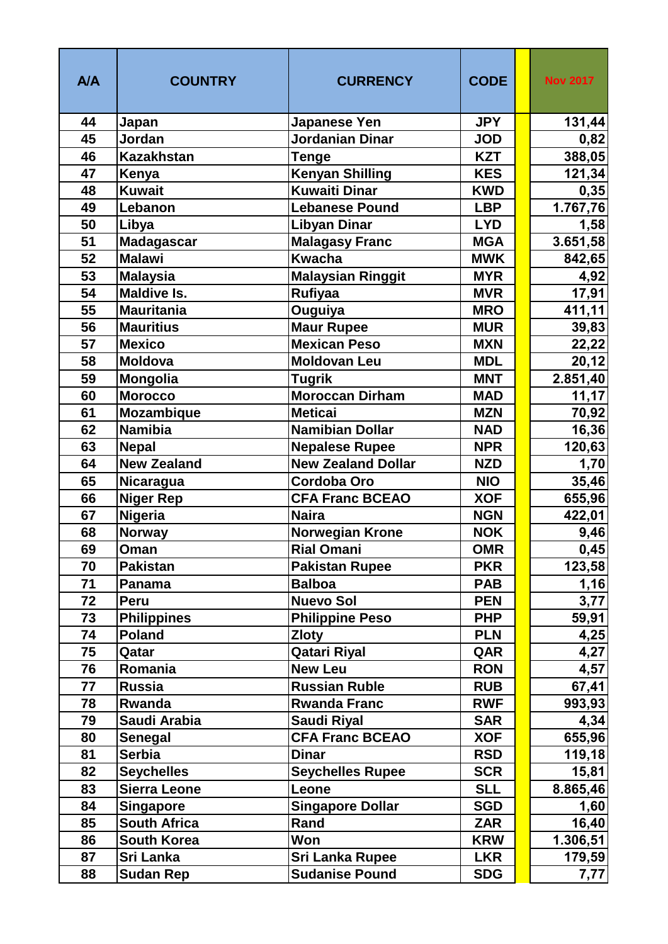| <b>A/A</b> | <b>COUNTRY</b>                          | <b>CURRENCY</b>                | <b>CODE</b>       | <b>Nov 2017</b> |
|------------|-----------------------------------------|--------------------------------|-------------------|-----------------|
| 44         | Japan                                   | Japanese Yen                   | <b>JPY</b>        | 131,44          |
| 45         | Jordan                                  | <b>Jordanian Dinar</b>         | <b>JOD</b>        | 0,82            |
| 46         | <b>Kazakhstan</b>                       | Tenge                          | <b>KZT</b>        | 388,05          |
| 47         | Kenya                                   | <b>Kenyan Shilling</b>         | <b>KES</b>        | 121,34          |
| 48         | <b>Kuwait</b>                           | <b>Kuwaiti Dinar</b>           | <b>KWD</b>        | 0,35            |
| 49         | Lebanon                                 | <b>Lebanese Pound</b>          | <b>LBP</b>        | 1.767,76        |
| 50         | Libya                                   | <b>Libyan Dinar</b>            | <b>LYD</b>        | 1,58            |
| 51         | <b>Madagascar</b>                       | <b>Malagasy Franc</b>          | <b>MGA</b>        | 3.651,58        |
| 52         | <b>Malawi</b>                           | <b>Kwacha</b>                  | <b>MWK</b>        | 842,65          |
| 53         | <b>Malaysia</b>                         | <b>Malaysian Ringgit</b>       | <b>MYR</b>        | 4,92            |
| 54         | <b>Maldive Is.</b>                      | <b>Rufiyaa</b>                 | <b>MVR</b>        | 17,91           |
| 55         | <b>Mauritania</b>                       | Ouguiya                        | <b>MRO</b>        | 411,11          |
| 56         | <b>Mauritius</b>                        | <b>Maur Rupee</b>              | <b>MUR</b>        | 39,83           |
| 57         | <b>Mexico</b>                           | <b>Mexican Peso</b>            | <b>MXN</b>        | 22,22           |
| 58         | <b>Moldova</b>                          | <b>Moldovan Leu</b>            | <b>MDL</b>        | 20,12           |
| 59         | <b>Mongolia</b>                         | <b>Tugrik</b>                  | <b>MNT</b>        | 2.851,40        |
| 60         | <b>Morocco</b>                          | Moroccan Dirham                | <b>MAD</b>        | 11,17           |
| 61         | <b>Mozambique</b>                       | <b>Meticai</b>                 | <b>MZN</b>        | 70,92           |
| 62         | <b>Namibia</b>                          | <b>Namibian Dollar</b>         | <b>NAD</b>        | 16,36           |
| 63         | <b>Nepal</b>                            | <b>Nepalese Rupee</b>          | <b>NPR</b>        | 120,63          |
| 64         | <b>New Zealand</b>                      | <b>New Zealand Dollar</b>      | <b>NZD</b>        | 1,70            |
| 65         | <b>Nicaragua</b>                        | <b>Cordoba Oro</b>             | <b>NIO</b>        | 35,46           |
| 66         | <b>Niger Rep</b>                        | <b>CFA Franc BCEAO</b>         | <b>XOF</b>        | 655,96          |
| 67         | <b>Nigeria</b>                          | <b>Naira</b>                   | <b>NGN</b>        | 422,01          |
| 68         | <b>Norway</b>                           | <b>Norwegian Krone</b>         | <b>NOK</b>        | 9,46            |
| 69         | Oman                                    | <b>Rial Omani</b>              | <b>OMR</b>        | 0,45            |
| 70         | <b>Pakistan</b>                         | <b>Pakistan Rupee</b>          | <b>PKR</b>        | 123,58          |
| 71         | Panama                                  | <b>Balboa</b>                  | <b>PAB</b>        | 1,16            |
| 72         | Peru                                    | <b>Nuevo Sol</b>               | <b>PEN</b>        | 3,77            |
| 73         | <b>Philippines</b>                      | <b>Philippine Peso</b>         | <b>PHP</b>        | 59,91           |
| 74<br>75   | <b>Poland</b>                           | <b>Zloty</b>                   | <b>PLN</b><br>QAR | 4,25            |
| 76         | Qatar<br>Romania                        | Qatari Riyal<br><b>New Leu</b> | <b>RON</b>        | 4,27            |
| 77         | <b>Russia</b>                           | <b>Russian Ruble</b>           | <b>RUB</b>        | 4,57            |
| 78         | Rwanda                                  | <b>Rwanda Franc</b>            | <b>RWF</b>        | 67,41           |
| 79         | Saudi Arabia                            | <b>Saudi Riyal</b>             | <b>SAR</b>        | 993,93          |
| 80         | <b>Senegal</b>                          | <b>CFA Franc BCEAO</b>         | <b>XOF</b>        | 4,34<br>655,96  |
| 81         | <b>Serbia</b>                           | <b>Dinar</b>                   | <b>RSD</b>        | 119,18          |
| 82         | <b>Seychelles</b>                       | <b>Seychelles Rupee</b>        | <b>SCR</b>        | 15,81           |
| 83         | <b>Sierra Leone</b>                     | Leone                          | <b>SLL</b>        | 8.865,46        |
| 84         |                                         | <b>Singapore Dollar</b>        | <b>SGD</b>        |                 |
| 85         | <b>Singapore</b><br><b>South Africa</b> | Rand                           | <b>ZAR</b>        | 1,60<br>16,40   |
| 86         | South Korea                             | Won                            | <b>KRW</b>        | 1.306, 51       |
| 87         | Sri Lanka                               | Sri Lanka Rupee                | <b>LKR</b>        | 179,59          |
| 88         | <b>Sudan Rep</b>                        | <b>Sudanise Pound</b>          | <b>SDG</b>        | 7,77            |
|            |                                         |                                |                   |                 |